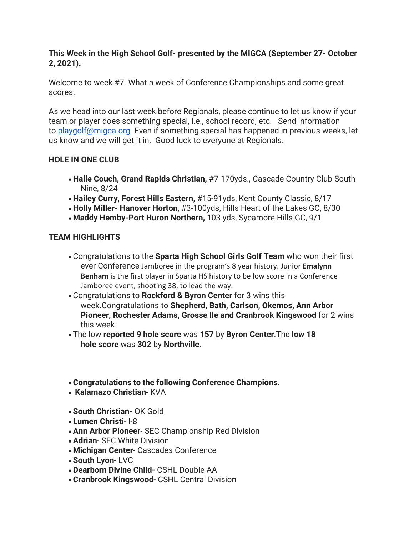## **This Week in the High School Golf- presented by the MIGCA (September 27- October 2, 2021).**

Welcome to week #7. What a week of Conference Championships and some great scores.

As we head into our last week before Regionals, please continue to let us know if your team or player does something special, i.e., school record, etc. Send information to [playgolf@migca.org](mailto:playgolf@migca.org) Even if something special has happened in previous weeks, let us know and we will get it in. Good luck to everyone at Regionals.

## **HOLE IN ONE CLUB**

- **Halle Couch, Grand Rapids Christian,** #7-170yds., Cascade Country Club South Nine, 8/24
- **Hailey Curry, Forest Hills Eastern,** #15-91yds, Kent County Classic, 8/17
- **Holly Miller- Hanover Horton**, #3-100yds, Hills Heart of the Lakes GC, 8/30
- **Maddy Hemby-Port Huron Northern,** 103 yds, Sycamore Hills GC, 9/1

# **TEAM HIGHLIGHTS**

- Congratulations to the **Sparta High School Girls Golf Team** who won their first ever Conference Jamboree in the program's 8 year history. Junior **Emalynn Benham** is the first player in Sparta HS history to be low score in a Conference Jamboree event, shooting 38, to lead the way.
- Congratulations to **Rockford & Byron Center** for 3 wins this week.Congratulations to **Shepherd, Bath, Carlson, Okemos, Ann Arbor Pioneer, Rochester Adams, Grosse Ile and Cranbrook Kingswood** for 2 wins this week.
- The low **reported 9 hole score** was **157** by **Byron Center**.The **low 18 hole score** was **302** by **Northville.**
- **Congratulations to the following Conference Champions.**
- **Kalamazo Christian** KVA
- **South Christian-** OK Gold
- **Lumen Christi** I-8
- **Ann Arbor Pioneer** SEC Championship Red Division
- **Adrian** SEC White Division
- **Michigan Center** Cascades Conference
- **South Lyon** LVC
- **Dearborn Divine Child-** CSHL Double AA
- **Cranbrook Kingswood** CSHL Central Division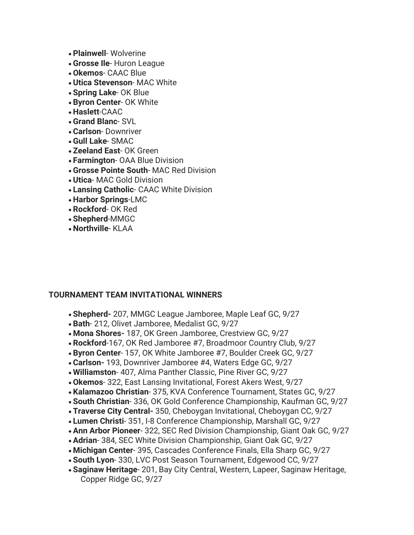- **Plainwell** Wolverine
- **Grosse Ile** Huron League
- **Okemos** CAAC Blue
- **Utica Stevenson** MAC White
- **Spring Lake** OK Blue
- **Byron Center** OK White
- **Haslett**-CAAC
- **Grand Blanc** SVL
- **Carlson** Downriver
- **Gull Lake** SMAC
- **Zeeland East** OK Green
- **Farmington** OAA Blue Division
- **Grosse Pointe South** MAC Red Division
- **Utica** MAC Gold Division
- **Lansing Catholic** CAAC White Division
- **Harbor Springs**-LMC
- **Rockford** OK Red
- **Shepherd**-MMGC
- **Northville** KLAA

#### **TOURNAMENT TEAM INVITATIONAL WINNERS**

- **Shepherd-** 207, MMGC League Jamboree, Maple Leaf GC, 9/27
- **Bath** 212, Olivet Jamboree, Medalist GC, 9/27
- **Mona Shores-** 187, OK Green Jamboree, Crestview GC, 9/27
- **Rockford**-167, OK Red Jamboree #7, Broadmoor Country Club, 9/27
- **Byron Center** 157, OK White Jamboree #7, Boulder Creek GC, 9/27
- **Carlson-** 193, Downriver Jamboree #4, Waters Edge GC, 9/27
- **Williamston** 407, Alma Panther Classic, Pine River GC, 9/27
- **Okemos** 322, East Lansing Invitational, Forest Akers West, 9/27
- **Kalamazoo Christian** 375, KVA Conference Tournament, States GC, 9/27
- **South Christian** 336, OK Gold Conference Championship, Kaufman GC, 9/27
- **Traverse City Central-** 350, Cheboygan Invitational, Cheboygan CC, 9/27
- **Lumen Christi** 351, I-8 Conference Championship, Marshall GC, 9/27
- **Ann Arbor Pioneer** 322, SEC Red Division Championship, Giant Oak GC, 9/27
- **Adrian** 384, SEC White Division Championship, Giant Oak GC, 9/27
- **Michigan Center** 395, Cascades Conference Finals, Ella Sharp GC, 9/27
- **South Lyon** 330, LVC Post Season Tournament, Edgewood CC, 9/27
- **Saginaw Heritage** 201, Bay City Central, Western, Lapeer, Saginaw Heritage, Copper Ridge GC, 9/27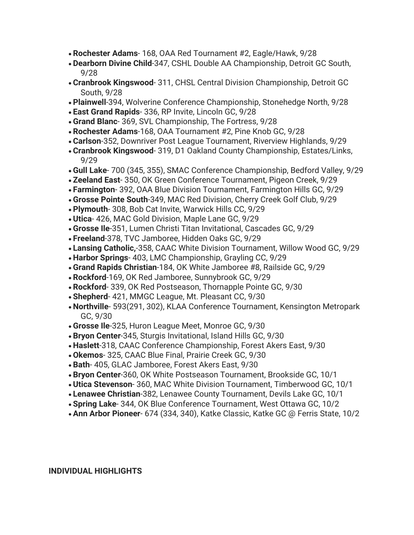- **Rochester Adams** 168, OAA Red Tournament #2, Eagle/Hawk, 9/28
- **Dearborn Divine Child**-347, CSHL Double AA Championship, Detroit GC South, 9/28
- **Cranbrook Kingswood** 311, CHSL Central Division Championship, Detroit GC South, 9/28
- **Plainwell**-394, Wolverine Conference Championship, Stonehedge North, 9/28
- **East Grand Rapids** 336, RP Invite, Lincoln GC, 9/28
- **Grand Blanc** 369, SVL Championship, The Fortress, 9/28
- **Rochester Adams**-168, OAA Tournament #2, Pine Knob GC, 9/28
- **Carlson**-352, Downriver Post League Tournament, Riverview Highlands, 9/29
- **Cranbrook Kingswood** 319, D1 Oakland County Championship, Estates/Links, 9/29
- **Gull Lake** 700 (345, 355), SMAC Conference Championship, Bedford Valley, 9/29
- **Zeeland East** 350, OK Green Conference Tournament, Pigeon Creek, 9/29
- **Farmington** 392, OAA Blue Division Tournament, Farmington Hills GC, 9/29
- **Grosse Pointe South**-349, MAC Red Division, Cherry Creek Golf Club, 9/29
- **Plymouth** 308, Bob Cat Invite, Warwick Hills CC, 9/29
- **Utica** 426, MAC Gold Division, Maple Lane GC, 9/29
- **Grosse Ile**-351, Lumen Christi Titan Invitational, Cascades GC, 9/29
- **Freeland**-378, TVC Jamboree, Hidden Oaks GC, 9/29
- **Lansing Catholic,**-358, CAAC White Division Tournament, Willow Wood GC, 9/29
- **Harbor Springs** 403, LMC Championship, Grayling CC, 9/29
- **Grand Rapids Christian**-184, OK White Jamboree #8, Railside GC, 9/29
- **Rockford**-169, OK Red Jamboree, Sunnybrook GC, 9/29
- **Rockford** 339, OK Red Postseason, Thornapple Pointe GC, 9/30
- **Shepherd** 421, MMGC League, Mt. Pleasant CC, 9/30
- **Northville** 593(291, 302), KLAA Conference Tournament, Kensington Metropark GC, 9/30
- **Grosse Ile**-325, Huron League Meet, Monroe GC, 9/30
- **Bryon Center**-345, Sturgis Invitational, Island Hills GC, 9/30
- **Haslett**-318, CAAC Conference Championship, Forest Akers East, 9/30
- **Okemos** 325, CAAC Blue Final, Prairie Creek GC, 9/30
- **Bath** 405, GLAC Jamboree, Forest Akers East, 9/30
- **Bryon Center**-360, OK White Postseason Tournament, Brookside GC, 10/1
- **Utica Stevenson** 360, MAC White Division Tournament, Timberwood GC, 10/1
- **Lenawee Christian**-382, Lenawee County Tournament, Devils Lake GC, 10/1
- **Spring Lake** 344, OK Blue Conference Tournament, West Ottawa GC, 10/2
- **Ann Arbor Pioneer** 674 (334, 340), Katke Classic, Katke GC @ Ferris State, 10/2

**INDIVIDUAL HIGHLIGHTS**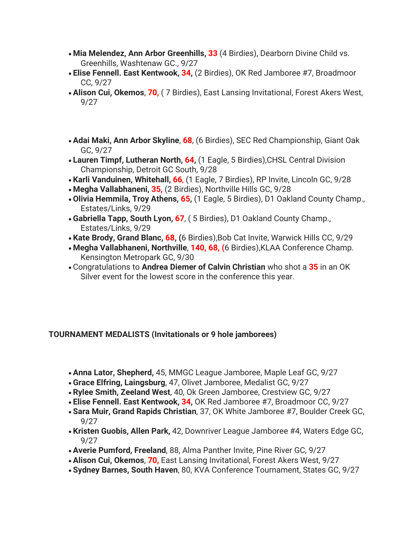- **Mia Melendez, Ann Arbor Greenhills, 33** (4 Birdies), Dearborn Divine Child vs. Greenhills, Washtenaw GC., 9/27
- **Elise Fennell. East Kentwook, 34,** (2 Birdies), OK Red Jamboree #7, Broadmoor CC, 9/27
- **Alison Cui, Okemos**, **70,** ( 7 Birdies), East Lansing Invitational, Forest Akers West, 9/27
- **Adai Maki, Ann Arbor Skyline**, **68**, (6 Birdies), SEC Red Championship, Giant Oak GC, 9/27
- **Lauren Timpf, Lutheran North, 64,** (1 Eagle, 5 Birdies),CHSL Central Division Championship, Detroit GC South, 9/28
- **Karli Vanduinen, Whitehall, 66**, (1 Eagle, 7 Birdies), RP Invite, Lincoln GC, 9/28
- **Megha Vallabhaneni, 35,** (2 Birdies), Northville Hills GC, 9/28
- **Olivia Hemmila, Troy Athens, 65,** (1 Eagle, 5 Birdies), D1 Oakland County Champ., Estates/Links, 9/29
- **Gabriella Tapp, South Lyon, 67**, ( 5 Birdies), D1 Oakland County Champ., Estates/Links, 9/29
- **Kate Brody, Grand Blanc, 68, (**6 Birdies),Bob Cat Invite, Warwick Hills CC, 9/29
- **Megha Vallabhaneni, Northville**, **140, 68, (**6 Birdies),KLAA Conference Champ. Kensington Metropark GC, 9/30
- Congratulations to **Andrea Diemer of Calvin Christian** who shot a **35** in an OK Silver event for the lowest score in the conference this year.

## **TOURNAMENT MEDALISTS (Invitationals or 9 hole jamborees)**

- **Anna Lator, Shepherd,** 45, MMGC League Jamboree, Maple Leaf GC, 9/27
- **Grace Elfring, Laingsburg**, 47, Olivet Jamboree, Medalist GC, 9/27
- **Rylee Smith, Zeeland West**, 40, Ok Green Jamboree, Crestview GC, 9/27
- **Elise Fennell. East Kentwook, 34,** OK Red Jamboree #7, Broadmoor CC, 9/27
- **Sara Muir, Grand Rapids Christian**, 37, OK White Jamboree #7, Boulder Creek GC, 9/27
- **Kristen Guobis, Allen Park,** 42, Downriver League Jamboree #4, Waters Edge GC, 9/27
- **Averie Pumford, Freeland**, 88, Alma Panther Invite, Pine River GC, 9/27
- **Alison Cui, Okemos**, **70,** East Lansing Invitational, Forest Akers West, 9/27
- **Sydney Barnes, South Haven**, 80, KVA Conference Tournament, States GC, 9/27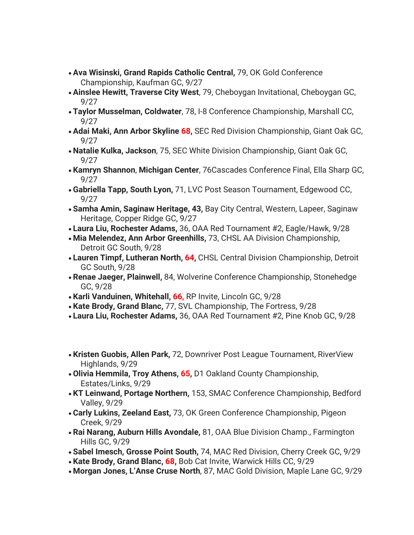- **Ava Wisinski, Grand Rapids Catholic Central,** 79, OK Gold Conference Championship, Kaufman GC, 9/27
- **Ainslee Hewitt, Traverse City West**, 79, Cheboygan Invitational, Cheboygan GC, 9/27
- **Taylor Musselman, Coldwater**, 78, I-8 Conference Championship, Marshall CC, 9/27
- **Adai Maki, Ann Arbor Skyline 68,** SEC Red Division Championship, Giant Oak GC, 9/27
- **Natalie Kulka, Jackson**, 75, SEC White Division Championship, Giant Oak GC, 9/27
- **Kamryn Shannon**, **Michigan Center**, 76Cascades Conference Final, Ella Sharp GC, 9/27
- **Gabriella Tapp, South Lyon,** 71, LVC Post Season Tournament, Edgewood CC, 9/27
- **Samha Amin, Saginaw Heritage, 43,** Bay City Central, Western, Lapeer, Saginaw Heritage, Copper Ridge GC, 9/27
- **Laura Liu, Rochester Adams,** 36, OAA Red Tournament #2, Eagle/Hawk, 9/28
- **Mia Melendez, Ann Arbor Greenhills,** 73, CHSL AA Division Championship, Detroit GC South, 9/28
- **Lauren Timpf, Lutheran North, 64,** CHSL Central Division Championship, Detroit GC South, 9/28
- **Renae Jaeger, Plainwell,** 84, Wolverine Conference Championship, Stonehedge GC, 9/28
- **Karli Vanduinen, Whitehall, 66,** RP Invite, Lincoln GC, 9/28
- **Kate Brody, Grand Blanc,** 77, SVL Championship, The Fortress, 9/28
- **Laura Liu, Rochester Adams,** 36, OAA Red Tournament #2, Pine Knob GC, 9/28
- **Kristen Guobis, Allen Park,** 72, Downriver Post League Tournament, RiverView Highlands, 9/29
- **Olivia Hemmila, Troy Athens, 65,** D1 Oakland County Championship, Estates/Links, 9/29
- **KT Leinwand, Portage Northern,** 153, SMAC Conference Championship, Bedford Valley, 9/29
- **Carly Lukins, Zeeland East,** 73, OK Green Conference Championship, Pigeon Creek, 9/29
- **Rai Narang, Auburn Hills Avondale,** 81, OAA Blue Division Champ., Farmington Hills GC, 9/29
- **Sabel Imesch, Grosse Point South,** 74, MAC Red Division, Cherry Creek GC, 9/29
- **Kate Brody, Grand Blanc, 68,** Bob Cat Invite, Warwick Hills CC, 9/29
- **Morgan Jones, L'Anse Cruse North**, 87, MAC Gold Division, Maple Lane GC, 9/29